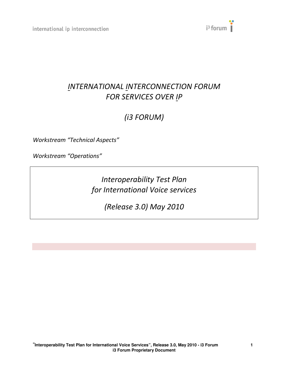

## INTERNATIONAL INTERCONNECTION FORUM FOR SERVICES OVER IP

# (i3 FORUM)

Workstream "Technical Aspects"

Workstream "Operations"

Interoperability Test Plan for International Voice services

(Release 3.0) May 2010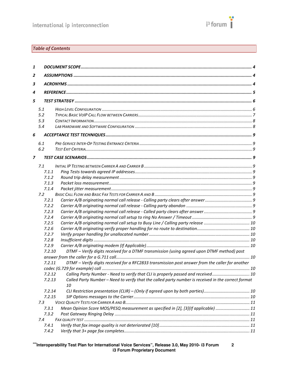

## Table of Contents

| 1              |        |                                                                                                     |  |
|----------------|--------|-----------------------------------------------------------------------------------------------------|--|
| 2              |        |                                                                                                     |  |
| 3              |        |                                                                                                     |  |
|                |        |                                                                                                     |  |
| 4              |        |                                                                                                     |  |
| 5              |        |                                                                                                     |  |
|                | 5.1    |                                                                                                     |  |
|                | 5.2    |                                                                                                     |  |
|                | 5.3    |                                                                                                     |  |
|                | 5.4    |                                                                                                     |  |
| 6              |        |                                                                                                     |  |
|                | 6.1    |                                                                                                     |  |
|                | 6.2    |                                                                                                     |  |
| $\overline{z}$ |        |                                                                                                     |  |
|                |        |                                                                                                     |  |
|                | 7.1    |                                                                                                     |  |
|                | 7.1.1  |                                                                                                     |  |
|                | 7.1.2  |                                                                                                     |  |
|                | 7.1.3  |                                                                                                     |  |
|                | 7.1.4  |                                                                                                     |  |
|                | 7.2    |                                                                                                     |  |
|                | 7.2.1  |                                                                                                     |  |
|                | 7.2.2  |                                                                                                     |  |
|                | 7.2.3  |                                                                                                     |  |
|                | 7.2.4  |                                                                                                     |  |
|                | 7.2.5  |                                                                                                     |  |
|                | 7.2.6  |                                                                                                     |  |
|                | 7.2.7  |                                                                                                     |  |
|                | 7.2.8  |                                                                                                     |  |
|                | 7.2.9  |                                                                                                     |  |
|                | 7.2.10 | DTMF - Verify digits received for a DTMF transmission (using agreed upon DTMF method) post          |  |
|                |        |                                                                                                     |  |
|                | 7.2.11 | DTMF - Verify digits received for a RFC2833 transmission post answer from the caller for another    |  |
|                |        |                                                                                                     |  |
|                | 7.2.12 | Calling Party Number - Need to verify that CLI is properly passed and received 10                   |  |
|                | 7.2.13 | Called Party Number - Need to verify that the called party number is received in the correct format |  |
|                |        | 10                                                                                                  |  |
|                | 7.2.14 |                                                                                                     |  |
|                | 7.2.15 |                                                                                                     |  |
|                | 7.3    |                                                                                                     |  |
|                | 7.3.1  | Mean Opinion Score MOS/PESQ measurement as specified in [2], [3](If applicable)  11                 |  |
|                | 7.3.2  |                                                                                                     |  |
|                | 7.4    |                                                                                                     |  |
|                | 7.4.1  |                                                                                                     |  |
|                | 7.4.2  |                                                                                                     |  |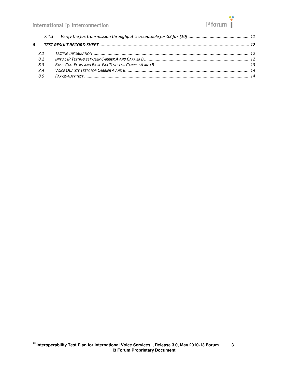

| 8 |     |  |
|---|-----|--|
|   | 8.1 |  |
|   | 8.2 |  |
|   | 8.3 |  |
|   | 8.4 |  |
|   | 8.5 |  |
|   |     |  |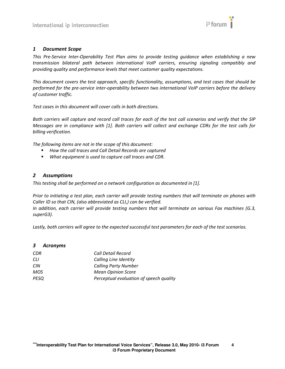

#### 1 Document Scope

This Pre-Service Inter-Operability Test Plan aims to provide testing guidance when establishing a new transmission bilateral path between international VoIP carriers, ensuring signaling compatibly and providing quality and performance levels that meet customer quality expectations.

This document covers the test approach, specific functionality, assumptions, and test cases that should be performed for the pre-service inter-operability between two international VoIP carriers before the delivery of customer traffic.

Test cases in this document will cover calls in both directions.

Both carriers will capture and record call traces for each of the test call scenarios and verify that the SIP Messages are in compliance with [1]. Both carriers will collect and exchange CDRs for the test calls for billing verification.

The following items are not in the scope of this document:

- How the call traces and Call Detail Records are captured
- **•** What equipment is used to capture call traces and CDR.

#### 2 Assumptions

This testing shall be performed on a network configuration as documented in [1].

Prior to initiating a test plan, each carrier will provide testing numbers that will terminate on phones with Caller ID so that CIN, (also abbreviated as CLI,) can be verified.

In addition, each carrier will provide testing numbers that will terminate on various Fax machines (G.3, superG3).

Lastly, both carriers will agree to the expected successful test parameters for each of the test scenarios.

#### 3 Acronyms

| CDR        | Call Detail Record                      |
|------------|-----------------------------------------|
| СLI        | Calling Line Identity                   |
| <b>CIN</b> | <b>Calling Party Number</b>             |
| MOS        | <b>Mean Opinion Score</b>               |
| PESQ       | Perceptual evaluation of speech quality |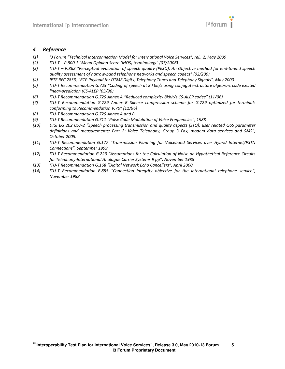

#### 4 Reference

- [1] i3 Forum "Technical Interconnection Model for International Voice Services", rel...2, May 2009
- [2] ITU-T P.800.1 "Mean Opinion Score (MOS) terminology" (07/2006)
- [3] ITU-T P.862 "Perceptual evaluation of speech quality (PESQ): An Objective method for end-to-end speech quality assessment of narrow-band telephone networks and speech codecs" (02/200)
- [4] IETF RFC 2833, "RTP Payload for DTMF Digits, Telephony Tones and Telephony Signals", May 2000
- [5] ITU-T Recommendation G.729 "Coding of speech at 8 kbit/s using conjugate-structure algebraic code excited linear-prediction (CS-ALEP (03/96)
- [6] ITU-T Recommendation G.729 Annex A "Reduced complexity 8kbit/s CS-ALEP codec" (11/96)
- [7] ITU-T Recommendation G.729 Annex B Silence compression scheme for G.729 optimized for terminals conforming to Recommendation V.70" (11/96)
- [8] ITU-T Recommendation G.729 Annex A and B
- [9] ITU-T Recommendation G.711 "Pulse Code Modulation of Voice Frequencies", 1988
- [10] ETSI EG 202 057-2 "Speech processing transmission and quality aspects (STQ); user related QoS parameter definitions and measurements; Part 2: Voice Telephony, Group 3 Fax, modem data services and SMS"; October 2005.
- [11] ITU-T Recommendation G.177 "Transmission Planning for Voiceband Services over Hybrid Internet/PSTN Connections", September 1999
- [12] ITU-T Recommendation G.223 "Assumptions for the Calculation of Noise on Hypothetical Reference Circuits for Telephony-International Analogue Carrier Systems 9 pp", November 1988
- [13] ITU-T Recommendation G.168 "Digital Network Echo Cancellers", April 2000
- [14] ITU-T Recommendation E.855 "Connection integrity objective for the international telephone service", November 1988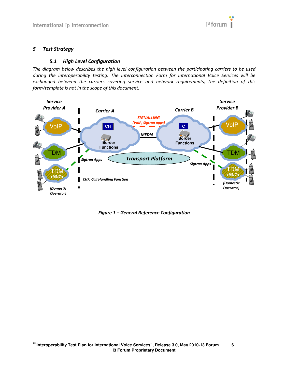

#### 5 Test Strategy

#### 5.1 High Level Configuration

The diagram below describes the high level configuration between the participating carriers to be used during the interoperability testing. The Interconnection Form for International Voice Services will be exchanged between the carriers covering service and network requirements; the definition of this form/template is not in the scope of this document.



Figure 1 – General Reference Configuration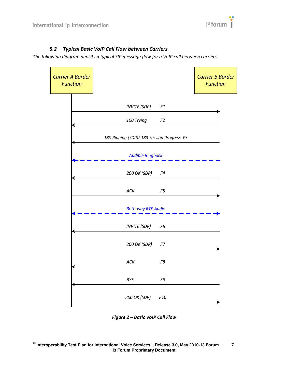

## 5.2 Typical Basic VoIP Call Flow between Carriers

The following diagram depicts a typical SIP message flow for a VoIP call between carriers.

| <b>Carrier A Border</b><br><b>Function</b> |                                            |                 | <b>Carrier B Border</b><br><b>Function</b> |
|--------------------------------------------|--------------------------------------------|-----------------|--------------------------------------------|
|                                            | <b>INVITE (SDP)</b>                        | F1              |                                            |
|                                            | 100 Trying                                 | F <sub>2</sub>  |                                            |
|                                            | 180 Ringing (SDP)/ 183 Session Progress F3 |                 |                                            |
|                                            | <b>Audible Ringback</b>                    |                 |                                            |
|                                            | 200 OK (SDP)                               | F4              |                                            |
|                                            | ACK                                        | F <sub>5</sub>  |                                            |
|                                            | <b>Both-way RTP Audio</b>                  |                 |                                            |
|                                            | <b>INVITE (SDP)</b>                        | F6              |                                            |
|                                            | 200 OK (SDP)                               | F7              |                                            |
|                                            | ACK                                        | F8              |                                            |
|                                            | <b>BYE</b>                                 | F9              |                                            |
|                                            | 200 OK (SDP)                               | F <sub>10</sub> |                                            |

Figure 2 – Basic VoIP Call Flow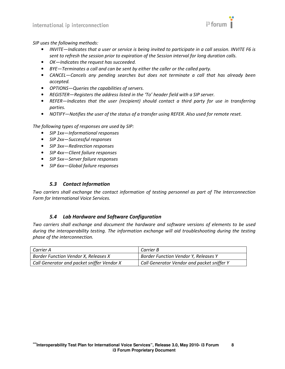

SIP uses the following methods:

- INVITE—Indicates that a user or service is being invited to participate in a call session. INVITE F6 is sent to refresh the session prior to expiration of the Session interval for long duration calls.
- OK—Indicates the request has succeeded.
- BYE—Terminates a call and can be sent by either the caller or the called party.
- CANCEL—Cancels any pending searches but does not terminate a call that has already been accepted.
- OPTIONS—Queries the capabilities of servers.
- REGISTER—Registers the address listed in the 'To' header field with a SIP server.
- REFER—Indicates that the user (recipient) should contact a third party for use in transferring parties.
- NOTIFY—Notifies the user of the status of a transfer using REFER. Also used for remote reset.

The following types of responses are used by SIP:

- SIP 1xx—Informational responses
- SIP 2xx-Successful responses
- SIP 3xx-Redirection responses
- SIP 4xx-Client failure responses
- SIP 5xx—Server failure responses
- SIP 6xx—Global failure responses

#### 5.3 Contact Information

Two carriers shall exchange the contact information of testing personnel as part of The Interconnection Form for International Voice Services.

#### 5.4 Lab Hardware and Software Configuration

Two carriers shall exchange and document the hardware and software versions of elements to be used during the interoperability testing. The information exchange will aid troubleshooting during the testing phase of the interconnection.

| Carrier A                                   | Carrier B                                   |
|---------------------------------------------|---------------------------------------------|
| <b>Border Function Vendor X, Releases X</b> | <b>Border Function Vendor Y, Releases Y</b> |
| Call Generator and packet sniffer Vendor X  | Call Generator Vendor and packet sniffer Y  |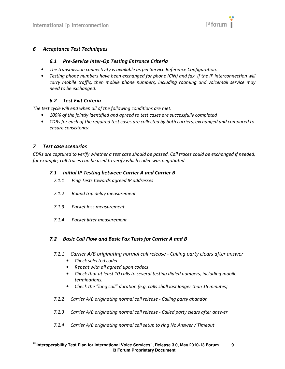

#### 6 Acceptance Test Techniques

#### 6.1 Pre-Service Inter-Op Testing Entrance Criteria

- The transmission connectivity is available as per Service Reference Configuration.
- Testing phone numbers have been exchanged for phone (CIN) and fax. If the IP interconnection will carry mobile traffic, then mobile phone numbers, including roaming and voicemail service may need to be exchanged.

#### 6.2 Test Exit Criteria

The test cycle will end when all of the following conditions are met:

- 100% of the jointly identified and agreed to test cases are successfully completed
- CDRs for each of the required test cases are collected by both carriers, exchanged and compared to ensure consistency.

#### 7 Test case scenarios

CDRs are captured to verify whether a test case should be passed. Call traces could be exchanged if needed; for example, call traces can be used to verify which codec was negotiated.

#### 7.1 Initial IP Testing between Carrier A and Carrier B

- 7.1.1 Ping Tests towards agreed IP addresses
- 7.1.2 Round trip delay measurement
- 7.1.3 Packet loss measurement
- 7.1.4 Packet jitter measurement

#### 7.2 Basic Call Flow and Basic Fax Tests for Carrier A and B

- 7.2.1 Carrier A/B originating normal call release Calling party clears after answer
	- Check selected codec
	- Repeat with all agreed upon codecs
	- Check that at least 10 calls to several testing dialed numbers, including mobile terminations.
	- Check the "long call" duration (e.g. calls shall last longer than 15 minutes)
- 7.2.2 Carrier A/B originating normal call release Calling party abandon
- 7.2.3 Carrier A/B originating normal call release Called party clears after answer
- 7.2.4 Carrier A/B originating normal call setup to ring No Answer / Timeout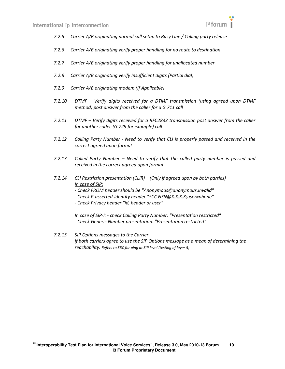

- 7.2.5 Carrier A/B originating normal call setup to Busy Line / Calling party release
- 7.2.6 Carrier A/B originating verify proper handling for no route to destination
- 7.2.7 Carrier A/B originating verify proper handling for unallocated number
- 7.2.8 Carrier A/B originating verify Insufficient digits (Partial dial)
- 7.2.9 Carrier A/B originating modem (If Applicable)
- 7.2.10 DTMF Verify digits received for a DTMF transmission (using agreed upon DTMF method) post answer from the caller for a G.711 call
- 7.2.11 DTMF Verify digits received for a RFC2833 transmission post answer from the caller for another codec (G.729 for example) call
- 7.2.12 Calling Party Number Need to verify that CLI is properly passed and received in the correct agreed upon format
- 7.2.13 Called Party Number Need to verify that the called party number is passed and received in the correct agreed upon format
- 7.2.14 CLI Restriction presentation (CLIR) (Only if agreed upon by both parties) In case of SIP:
	- Check FROM header should be "Anonymous@anonymous.invalid"
	- Check P-asserted-identity header "+CC NSN@X.X.X.X;user=phone"
	- Check Privacy header "id, header or user"

In case of SIP-I: - check Calling Party Number: "Presentation restricted" - Check Generic Number presentation: "Presentation restricted"

7.2.15 SIP Options messages to the Carrier If both carriers agree to use the SIP Options message as a mean of determining the reachability. Refers to SBC for ping at SIP level (testing of layer 5)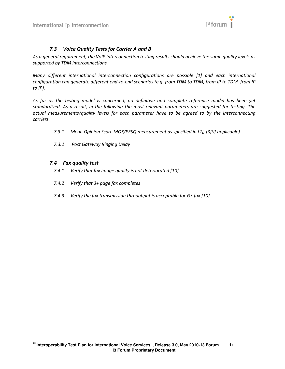

### 7.3 Voice Quality Tests for Carrier A and B

As a general requirement, the VoIP interconnection testing results should achieve the same quality levels as supported by TDM interconnections.

Many different international interconnection configurations are possible [1] and each international configuration can generate different end-to-end scenarios (e.g. from TDM to TDM, from IP to TDM, from IP to IP).

As far as the testing model is concerned, no definitive and complete reference model has been yet standardized. As a result, in the following the most relevant parameters are suggested for testing. The actual measurements/quality levels for each parameter have to be agreed to by the interconnecting carriers.

- 7.3.1 Mean Opinion Score MOS/PESQ measurement as specified in [2], [3](If applicable)
- 7.3.2 Post Gateway Ringing Delay

#### 7.4 Fax quality test

- 7.4.1 Verify that fax image quality is not deteriorated [10]
- 7.4.2 Verify that 3+ page fax completes
- 7.4.3 Verify the fax transmission throughput is acceptable for G3 fax [10]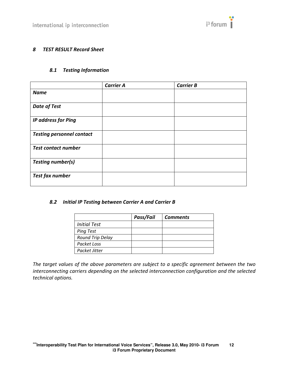

#### 8 TEST RESULT Record Sheet

## 8.1 Testing Information

|                                  | <b>Carrier A</b> | <b>Carrier B</b> |
|----------------------------------|------------------|------------------|
| <b>Name</b>                      |                  |                  |
| <b>Date of Test</b>              |                  |                  |
| <b>IP address for Ping</b>       |                  |                  |
| <b>Testing personnel contact</b> |                  |                  |
| <b>Test contact number</b>       |                  |                  |
| <b>Testing number(s)</b>         |                  |                  |
| <b>Test fax number</b>           |                  |                  |

#### 8.2 Initial IP Testing between Carrier A and Carrier B

|                     | Pass/Fail | <b>Comments</b> |
|---------------------|-----------|-----------------|
| <b>Initial Test</b> |           |                 |
| <b>Ping Test</b>    |           |                 |
| Round Trip Delay    |           |                 |
| Packet Loss         |           |                 |
| Packet Jitter       |           |                 |

The target values of the above parameters are subject to a specific agreement between the two interconnecting carriers depending on the selected interconnection configuration and the selected technical options.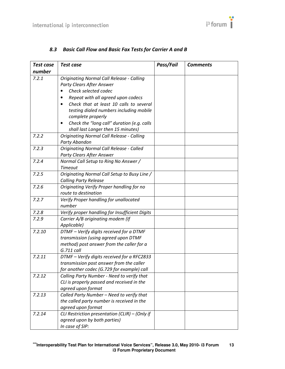

| Test case | Test case                                        | Pass/Fail | <b>Comments</b> |
|-----------|--------------------------------------------------|-----------|-----------------|
| number    |                                                  |           |                 |
| 7.2.1     | <b>Originating Normal Call Release - Calling</b> |           |                 |
|           | <b>Party Clears After Answer</b>                 |           |                 |
|           | Check selected codec                             |           |                 |
|           | Repeat with all agreed upon codecs               |           |                 |
|           | Check that at least 10 calls to several          |           |                 |
|           | testing dialed numbers including mobile          |           |                 |
|           | complete properly                                |           |                 |
|           | Check the "long call" duration (e.g. calls       |           |                 |
|           | shall last Langer then 15 minutes)               |           |                 |
| 7.2.2     | <b>Originating Normal Call Release - Calling</b> |           |                 |
|           | Party Abandon                                    |           |                 |
| 7.2.3     | <b>Originating Normal Call Release - Called</b>  |           |                 |
|           | Party Clears After Answer                        |           |                 |
| 7.2.4     | Normal Call Setup to Ring No Answer /            |           |                 |
|           | <b>Timeout</b>                                   |           |                 |
| 7.2.5     | Originating Normal Call Setup to Busy Line /     |           |                 |
|           | <b>Calling Party Release</b>                     |           |                 |
| 7.2.6     | Originating Verify Proper handling for no        |           |                 |
|           | route to destination                             |           |                 |
| 7.2.7     | Verify Proper handling for unallocated           |           |                 |
|           | number                                           |           |                 |
| 7.2.8     | Verify proper handling for Insufficient Digits   |           |                 |
| 7.2.9     | Carrier A/B originating modem (If                |           |                 |
|           | Applicable)                                      |           |                 |
| 7.2.10    | DTMF - Verify digits received for a DTMF         |           |                 |
|           | transmission (using agreed upon DTMF             |           |                 |
|           | method) post answer from the caller for a        |           |                 |
|           | G.711 call                                       |           |                 |
| 7.2.11    | DTMF - Verify digits received for a RFC2833      |           |                 |
|           | transmission post answer from the caller         |           |                 |
|           | for another codec (G.729 for example) call       |           |                 |
| 7.2.12    | Calling Party Number - Need to verify that       |           |                 |
|           | CLI is properly passed and received in the       |           |                 |
|           | agreed upon format                               |           |                 |
| 7.2.13    | Called Party Number - Need to verify that        |           |                 |
|           | the called party number is received in the       |           |                 |
|           | agreed upon format                               |           |                 |
| 7.2.14    | CLI Restriction presentation (CLIR) - (Only if   |           |                 |
|           | agreed upon by both parties)                     |           |                 |
|           | In case of SIP:                                  |           |                 |

## 8.3 Basic Call Flow and Basic Fax Tests for Carrier A and B